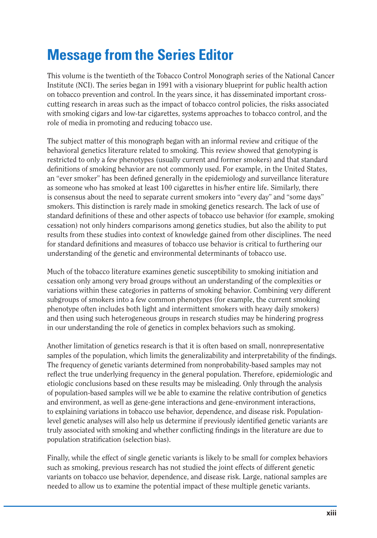## **Message from the Series Editor**

This volume is the twentieth of the Tobacco Control Monograph series of the National Cancer Institute (NCI). The series began in 1991 with a visionary blueprint for public health action on tobacco prevention and control. In the years since, it has disseminated important crosscutting research in areas such as the impact of tobacco control policies, the risks associated with smoking cigars and low-tar cigarettes, systems approaches to tobacco control, and the role of media in promoting and reducing tobacco use.

The subject matter of this monograph began with an informal review and critique of the behavioral genetics literature related to smoking. This review showed that genotyping is restricted to only a few phenotypes (usually current and former smokers) and that standard definitions of smoking behavior are not commonly used. For example, in the United States, an "ever smoker" has been defined generally in the epidemiology and surveillance literature as someone who has smoked at least 100 cigarettes in his/her entire life. Similarly, there is consensus about the need to separate current smokers into "every day" and "some days" smokers. This distinction is rarely made in smoking genetics research. The lack of use of standard definitions of these and other aspects of tobacco use behavior (for example, smoking cessation) not only hinders comparisons among genetics studies, but also the ability to put results from these studies into context of knowledge gained from other disciplines. The need for standard definitions and measures of tobacco use behavior is critical to furthering our understanding of the genetic and environmental determinants of tobacco use.

Much of the tobacco literature examines genetic susceptibility to smoking initiation and cessation only among very broad groups without an understanding of the complexities or variations within these categories in patterns of smoking behavior. Combining very different subgroups of smokers into a few common phenotypes (for example, the current smoking phenotype often includes both light and intermittent smokers with heavy daily smokers) and then using such heterogeneous groups in research studies may be hindering progress in our understanding the role of genetics in complex behaviors such as smoking.

Another limitation of genetics research is that it is often based on small, nonrepresentative samples of the population, which limits the generalizability and interpretability of the findings. The frequency of genetic variants determined from nonprobability-based samples may not reflect the true underlying frequency in the general population. Therefore, epidemiologic and etiologic conclusions based on these results may be misleading. Only through the analysis of population-based samples will we be able to examine the relative contribution of genetics and environment, as well as gene-gene interactions and gene-environment interactions, to explaining variations in tobacco use behavior, dependence, and disease risk. Populationlevel genetic analyses will also help us determine if previously identified genetic variants are truly associated with smoking and whether conflicting findings in the literature are due to population stratification (selection bias).

Finally, while the effect of single genetic variants is likely to be small for complex behaviors such as smoking, previous research has not studied the joint effects of different genetic variants on tobacco use behavior, dependence, and disease risk. Large, national samples are needed to allow us to examine the potential impact of these multiple genetic variants.